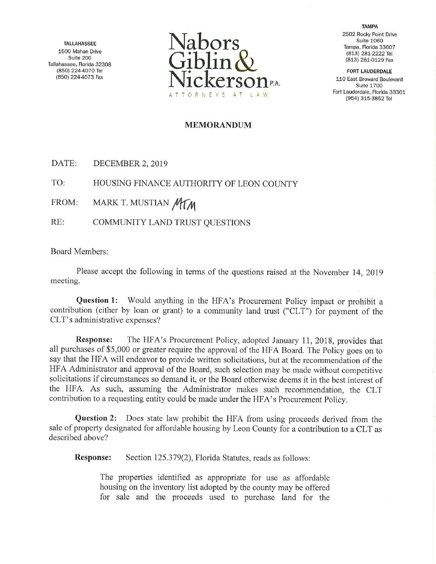Tallahassee, Florida 32308



TAMPA 2502 Rocky Point Drive Suite 1060

110 East Broward Boulevard Suite 1700 Fort Lauderdale, Florida 33301

## MEMORANDUM

DATE: DECEMBER 2, 2019

TO: HOUSING FINANCE AUTHORITY OF LEON COUNTY

FROM: MARK T. MUSTIAN MYM

RE: COMMUNITY LAND TRUST QUESTIONS

Board Members:

Please accept the following in terms of the questions raised at the November 14, 2019 meeting.

Question 1: Would anything in the HFA's Procurement Policy impact or prohibit a contribution (either by loan or grant) to a community land trust ("CLT") for payment of the CLT's administrative expenses?

Response: The HFA's Procurement Policy, adopted January 11, 2018, provides that all purchases of \$5,000 or greater require the approval of the HFA Board. The Policy goes on to say that the HFA will endeavor to provide written solicitations, but at the recommendation of the HFA Administrator and approval of the Board, such selection may be made without competitive solicitations if circumstances so demand it, or the Board otherwise deems it in the best interest of the HFA. As such, assuming the Administrator makes such recommendation, the CLT contribution to a requesting entity could be made under the HFA's Procurement Policy.

Question 2: Does state law prohibit the HFA from using proceeds derived from the sale of property designated for affordable housing by Leon County for a contribution to a CLT as described above?

Response: Section 125.379(2), Florida Statutes, reads as follows:

The properties identified as appropriate for use as affordable housing on the inventory list adopted by the county may be offered for sale and the proceeds used to purchase land for the